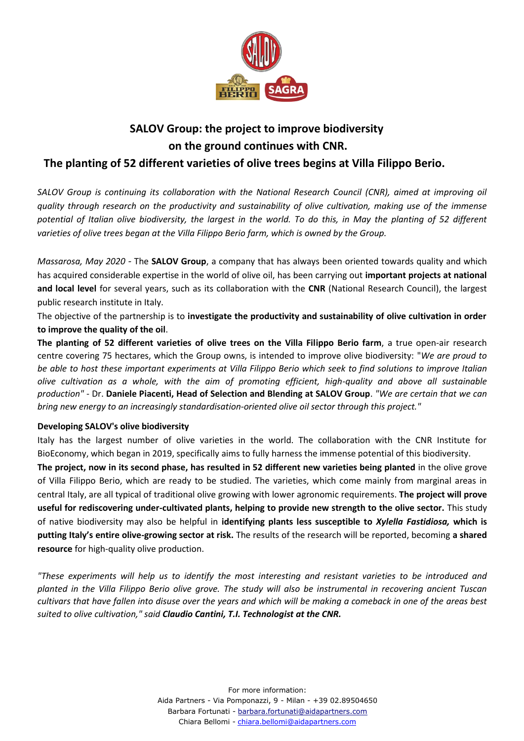

## **SALOV Group: the project to improve biodiversity on the ground continues with CNR.**

## **The planting of 52 different varieties of olive trees begins at Villa Filippo Berio.**

*SALOV Group is continuing its collaboration with the National Research Council (CNR), aimed at improving oil quality through research on the productivity and sustainability of olive cultivation, making use of the immense potential of Italian olive biodiversity, the largest in the world. To do this, in May the planting of 52 different varieties of olive trees began at the Villa Filippo Berio farm, which is owned by the Group.*

*Massarosa, May 2020 -* The **SALOV Group**, a company that has always been oriented towards quality and which has acquired considerable expertise in the world of olive oil, has been carrying out **important projects at national and local level** for several years, such as its collaboration with the **CNR** (National Research Council), the largest public research institute in Italy.

The objective of the partnership is to **investigate the productivity and sustainability of olive cultivation in order to improve the quality of the oil**.

**The planting of 52 different varieties of olive trees on the Villa Filippo Berio farm**, a true open-air research centre covering 75 hectares, which the Group owns, is intended to improve olive biodiversity: "*We are proud to be able to host these important experiments at Villa Filippo Berio which seek to find solutions to improve Italian olive cultivation as a whole, with the aim of promoting efficient, high-quality and above all sustainable production"* - Dr. **Daniele Piacenti, Head of Selection and Blending at SALOV Group**. *"We are certain that we can bring new energy to an increasingly standardisation-oriented olive oil sector through this project."*

## **Developing SALOV's olive biodiversity**

Italy has the largest number of olive varieties in the world. The collaboration with the CNR Institute for BioEconomy, which began in 2019, specifically aims to fully harness the immense potential of this biodiversity.

**The project, now in its second phase, has resulted in 52 different new varieties being planted** in the olive grove of Villa Filippo Berio, which are ready to be studied. The varieties, which come mainly from marginal areas in central Italy, are all typical of traditional olive growing with lower agronomic requirements. **The project will prove useful for rediscovering under-cultivated plants, helping to provide new strength to the olive sector.** This study of native biodiversity may also be helpful in **identifying plants less susceptible to** *Xylella Fastidiosa,* **which is putting Italy's entire olive-growing sector at risk.** The results of the research will be reported, becoming **a shared resource** for high-quality olive production.

*"These experiments will help us to identify the most interesting and resistant varieties to be introduced and planted in the Villa Filippo Berio olive grove. The study will also be instrumental in recovering ancient Tuscan cultivars that have fallen into disuse over the years and which will be making a comeback in one of the areas best suited to olive cultivation," said Claudio Cantini, T.I. Technologist at the CNR.*